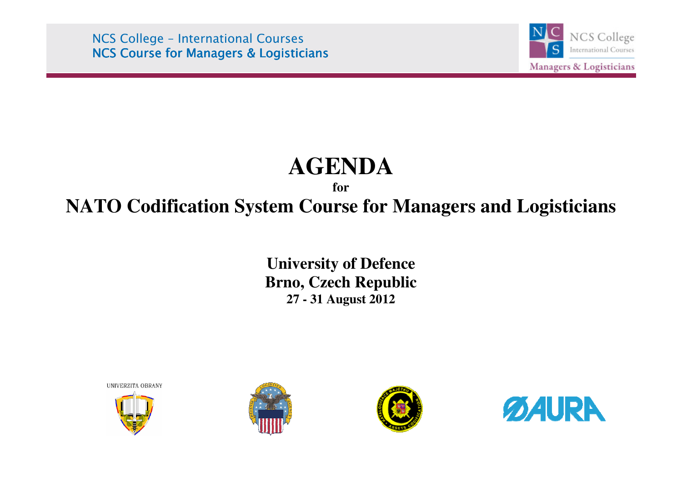NCS College – International Courses **NCS Course for Managers & Logisticians** 



# **AGENDA**

## **forNATO Codification System Course for Managers and Logisticians**

**University of Defence Brno, Czech Republic 27 - 31 August 2012** 

UNIVERZITA OBRANY







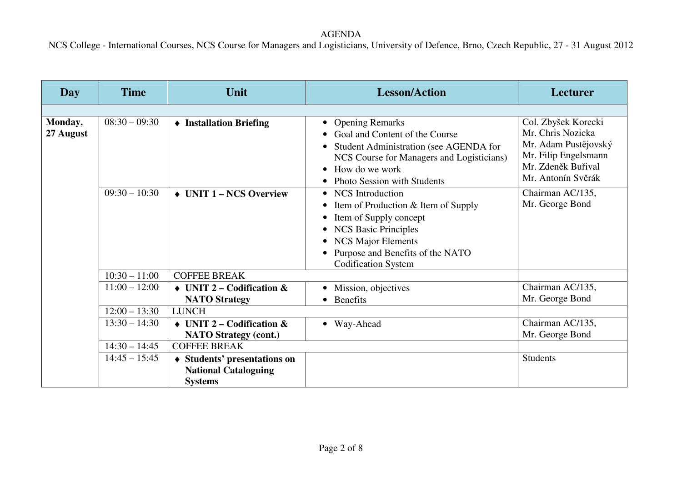| Day                  | <b>Time</b>     | Unit                                                                          | <b>Lesson/Action</b>                                                                                                                                                                                                 | <b>Lecturer</b>                                                                                                                      |  |
|----------------------|-----------------|-------------------------------------------------------------------------------|----------------------------------------------------------------------------------------------------------------------------------------------------------------------------------------------------------------------|--------------------------------------------------------------------------------------------------------------------------------------|--|
|                      |                 |                                                                               |                                                                                                                                                                                                                      |                                                                                                                                      |  |
| Monday,<br>27 August | $08:30 - 09:30$ | • Installation Briefing                                                       | <b>Opening Remarks</b><br>$\bullet$<br>Goal and Content of the Course<br>Student Administration (see AGENDA for<br>NCS Course for Managers and Logisticians)<br>How do we work<br><b>Photo Session with Students</b> | Col. Zbyšek Korecki<br>Mr. Chris Nozicka<br>Mr. Adam Pustějovský<br>Mr. Filip Engelsmann<br>Mr. Zdeněk Buřival<br>Mr. Antonín Svěrák |  |
|                      | $09:30 - 10:30$ | $\triangleleft$ UNIT 1 – NCS Overview                                         | • NCS Introduction<br>Item of Production & Item of Supply<br>Item of Supply concept<br><b>NCS Basic Principles</b><br><b>NCS Major Elements</b><br>Purpose and Benefits of the NATO<br><b>Codification System</b>    | Chairman AC/135,<br>Mr. George Bond                                                                                                  |  |
|                      | $10:30 - 11:00$ | <b>COFFEE BREAK</b>                                                           |                                                                                                                                                                                                                      |                                                                                                                                      |  |
|                      | $11:00 - 12:00$ | $\triangleleft$ UNIT 2 – Codification &<br><b>NATO Strategy</b>               | Mission, objectives<br>Benefits<br>$\bullet$                                                                                                                                                                         | Chairman AC/135,<br>Mr. George Bond                                                                                                  |  |
|                      | $12:00 - 13:30$ | <b>LUNCH</b>                                                                  |                                                                                                                                                                                                                      |                                                                                                                                      |  |
|                      | $13:30 - 14:30$ | $\triangleleft$ UNIT 2 – Codification &<br><b>NATO Strategy (cont.)</b>       | • Way-Ahead                                                                                                                                                                                                          | Chairman AC/135,<br>Mr. George Bond                                                                                                  |  |
|                      | $14:30 - 14:45$ | <b>COFFEE BREAK</b>                                                           |                                                                                                                                                                                                                      |                                                                                                                                      |  |
|                      | $14:45 - 15:45$ | ♦ Students' presentations on<br><b>National Cataloguing</b><br><b>Systems</b> |                                                                                                                                                                                                                      | <b>Students</b>                                                                                                                      |  |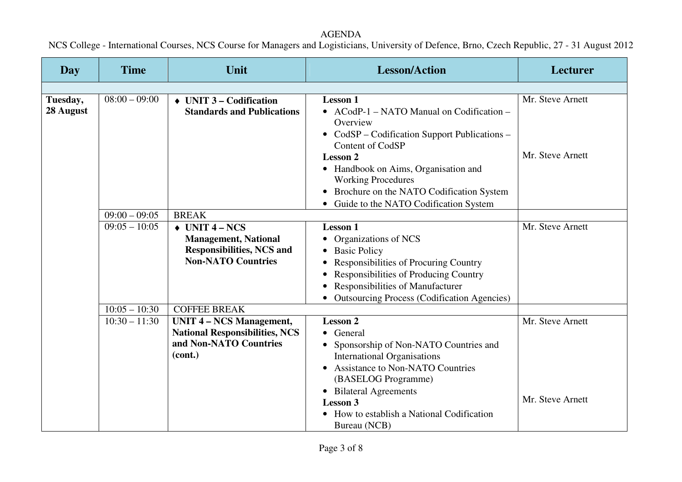| <b>Day</b> | <b>Time</b>     | Unit                                  | <b>Lesson/Action</b>                                              | Lecturer         |
|------------|-----------------|---------------------------------------|-------------------------------------------------------------------|------------------|
|            |                 |                                       |                                                                   |                  |
| Tuesday,   | $08:00 - 09:00$ | $\rightarrow$ UNIT 3 – Codification   | <b>Lesson 1</b>                                                   | Mr. Steve Arnett |
| 28 August  |                 | <b>Standards and Publications</b>     | • ACodP-1 – NATO Manual on Codification –                         |                  |
|            |                 |                                       | Overview                                                          |                  |
|            |                 |                                       | • CodSP - Codification Support Publications -<br>Content of CodSP |                  |
|            |                 |                                       | <b>Lesson 2</b>                                                   | Mr. Steve Arnett |
|            |                 |                                       | • Handbook on Aims, Organisation and                              |                  |
|            |                 |                                       | <b>Working Procedures</b>                                         |                  |
|            |                 |                                       | Brochure on the NATO Codification System                          |                  |
|            |                 |                                       | • Guide to the NATO Codification System                           |                  |
|            | $09:00 - 09:05$ | <b>BREAK</b>                          |                                                                   |                  |
|            | $09:05 - 10:05$ | $\rightarrow$ UNIT 4 – NCS            | <b>Lesson 1</b>                                                   | Mr. Steve Arnett |
|            |                 | <b>Management, National</b>           | Organizations of NCS                                              |                  |
|            |                 | <b>Responsibilities, NCS and</b>      | • Basic Policy                                                    |                  |
|            |                 | <b>Non-NATO Countries</b>             | Responsibilities of Procuring Country                             |                  |
|            |                 |                                       | Responsibilities of Producing Country                             |                  |
|            |                 |                                       | Responsibilities of Manufacturer<br>$\bullet$                     |                  |
|            | $10:05 - 10:30$ | <b>COFFEE BREAK</b>                   | <b>Outsourcing Process (Codification Agencies)</b>                |                  |
|            | $10:30 - 11:30$ | <b>UNIT 4 - NCS Management,</b>       | <b>Lesson 2</b>                                                   | Mr. Steve Arnett |
|            |                 | <b>National Responsibilities, NCS</b> | • General                                                         |                  |
|            |                 | and Non-NATO Countries                | • Sponsorship of Non-NATO Countries and                           |                  |
|            |                 | (cont.)                               | <b>International Organisations</b>                                |                  |
|            |                 |                                       | • Assistance to Non-NATO Countries                                |                  |
|            |                 |                                       | (BASELOG Programme)                                               |                  |
|            |                 |                                       | • Bilateral Agreements                                            |                  |
|            |                 |                                       | <b>Lesson 3</b>                                                   | Mr. Steve Arnett |
|            |                 |                                       | How to establish a National Codification                          |                  |
|            |                 |                                       | Bureau (NCB)                                                      |                  |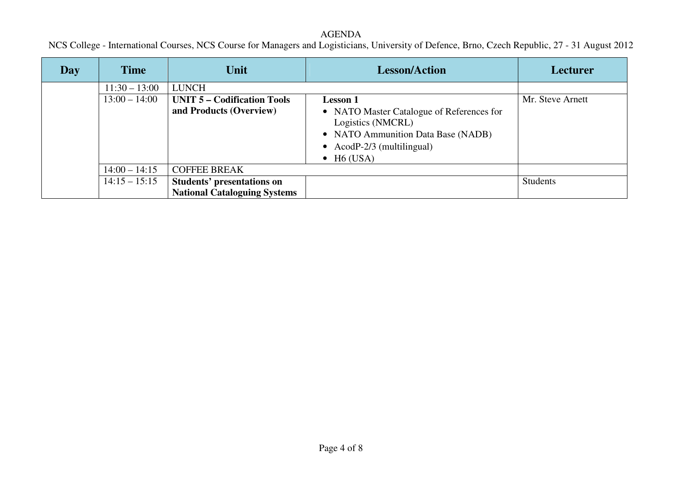### AGENDA

| <b>Day</b> | <b>Time</b>     | Unit                                                                     | <b>Lesson/Action</b>                                                                                                                                                                       | <b>Lecturer</b>  |
|------------|-----------------|--------------------------------------------------------------------------|--------------------------------------------------------------------------------------------------------------------------------------------------------------------------------------------|------------------|
|            | $11:30 - 13:00$ | <b>LUNCH</b>                                                             |                                                                                                                                                                                            |                  |
|            | $13:00 - 14:00$ | <b>UNIT 5 – Codification Tools</b><br>and Products (Overview)            | <b>Lesson 1</b><br>• NATO Master Catalogue of References for<br>Logistics (NMCRL)<br>• NATO Ammunition Data Base (NADB)<br>• AcodP- $2/3$ (multilingual)<br>$\bullet$ H <sub>6</sub> (USA) | Mr. Steve Arnett |
|            | $14:00 - 14:15$ | <b>COFFEE BREAK</b>                                                      |                                                                                                                                                                                            |                  |
|            | $14:15 - 15:15$ | <b>Students' presentations on</b><br><b>National Cataloguing Systems</b> |                                                                                                                                                                                            | <b>Students</b>  |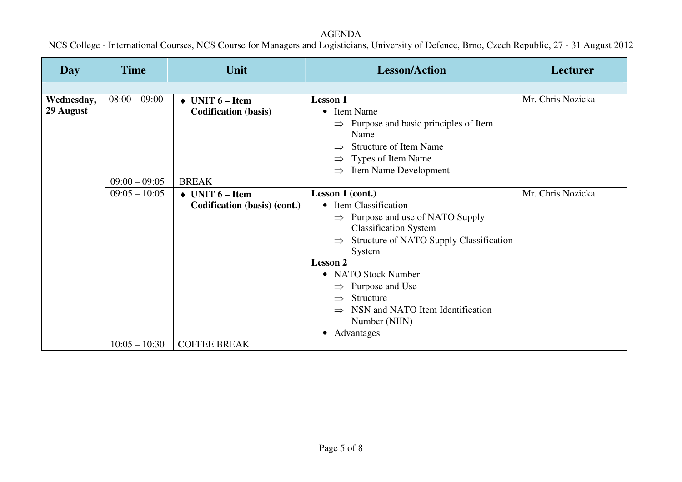#### **Day** Time Unit Unit Lesson/Action Lesson Lesson Lesson Lex  $08:00 - 09:00$  $\begin{array}{c|c} 0 & \rightarrow & \text{UNIT } 6-\text{Item} \end{array}$ **Codification (basis) Lesson 1** • Item Name  $\Rightarrow$  Purpose and basic principles of Item<br>Name Name  $\Rightarrow$  Structure of Item Name ⇒ Types of Item Name ⇒ Item Name Development Mr. Chris Nozicka  $09:00 - 09:05$  BREAK  $\bigstar$  UNIT 6 – Item<br>Codification (b)  $09:05 - 10:05$   $\rightarrow$ **Codification (basis) (cont.)Lesson 1 (cont.)** • Item Classification  $\Rightarrow$  Purpose and use of NATO Supply<br>Classification System Classification System  $\Rightarrow$  Structure of NATO Supply Classification<br>System System **Lesson 2** • NATO Stock Number  $\Rightarrow$  Purpose and Use<br> $\Rightarrow$  Structure  $\Rightarrow$  Structure ⇒ Structure<br>
⇒ NSN and NATO Item Identification<br>
Number (NIIN) Number (NIIN) • Advantages Mr. Chris Nozicka **Wednesday, 29 August** $10:05 - 10:30$  COFFEE BREAK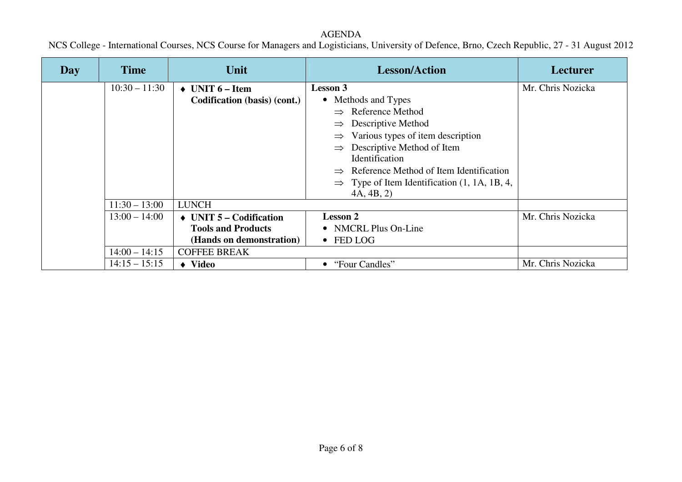| Day | <b>Time</b>     | Unit                                  | <b>Lesson/Action</b>                                     | <b>Lecturer</b>   |
|-----|-----------------|---------------------------------------|----------------------------------------------------------|-------------------|
|     | $10:30 - 11:30$ | $\triangle$ UNIT 6 – Item             | <b>Lesson 3</b>                                          | Mr. Chris Nozicka |
|     |                 | Codification (basis) (cont.)          | • Methods and Types                                      |                   |
|     |                 |                                       | $\Rightarrow$ Reference Method                           |                   |
|     |                 |                                       | Descriptive Method                                       |                   |
|     |                 |                                       | Various types of item description                        |                   |
|     |                 |                                       | Descriptive Method of Item<br>$\Rightarrow$              |                   |
|     |                 |                                       | Identification                                           |                   |
|     |                 |                                       | $\Rightarrow$ Reference Method of Item Identification    |                   |
|     |                 |                                       | $\Rightarrow$ Type of Item Identification (1, 1A, 1B, 4, |                   |
|     |                 |                                       | 4A, 4B, 2)                                               |                   |
|     | $11:30 - 13:00$ | <b>LUNCH</b>                          |                                                          |                   |
|     | $13:00 - 14:00$ | $\triangleleft$ UNIT 5 – Codification | <b>Lesson 2</b>                                          | Mr. Chris Nozicka |
|     |                 | <b>Tools and Products</b>             | • NMCRL Plus On-Line                                     |                   |
|     |                 | (Hands on demonstration)              | $\bullet$ FED LOG                                        |                   |
|     | $14:00 - 14:15$ | <b>COFFEE BREAK</b>                   |                                                          |                   |
|     | $14:15 - 15:15$ | $\blacklozenge$ Video                 | "Four Candles"                                           | Mr. Chris Nozicka |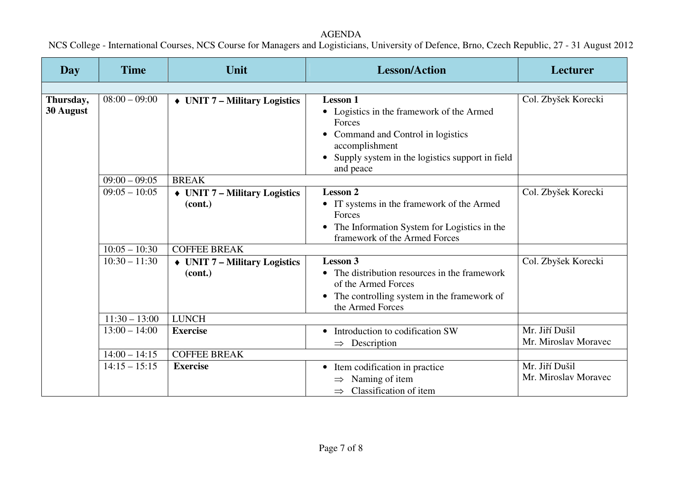| Day                    | <b>Time</b>     | Unit                                                   | <b>Lesson/Action</b>                                                                                                                                                                         | Lecturer                               |
|------------------------|-----------------|--------------------------------------------------------|----------------------------------------------------------------------------------------------------------------------------------------------------------------------------------------------|----------------------------------------|
|                        |                 |                                                        |                                                                                                                                                                                              |                                        |
| Thursday,<br>30 August | $08:00 - 09:00$ | $\triangleleft$ UNIT 7 – Military Logistics            | <b>Lesson 1</b><br>• Logistics in the framework of the Armed<br>Forces<br>Command and Control in logistics<br>accomplishment<br>Supply system in the logistics support in field<br>and peace | Col. Zbyšek Korecki                    |
|                        | $09:00 - 09:05$ | <b>BREAK</b>                                           |                                                                                                                                                                                              |                                        |
|                        | $09:05 - 10:05$ | $\triangleleft$ UNIT 7 – Military Logistics<br>(cont.) | <b>Lesson 2</b><br>• IT systems in the framework of the Armed<br>Forces<br>The Information System for Logistics in the<br>framework of the Armed Forces                                      | Col. Zbyšek Korecki                    |
|                        | $10:05 - 10:30$ | <b>COFFEE BREAK</b>                                    |                                                                                                                                                                                              |                                        |
|                        | $10:30 - 11:30$ | $\rightarrow$ UNIT 7 – Military Logistics<br>(cont.)   | <b>Lesson 3</b><br>The distribution resources in the framework<br>of the Armed Forces<br>The controlling system in the framework of<br>$\bullet$<br>the Armed Forces                         | Col. Zbyšek Korecki                    |
|                        | $11:30 - 13:00$ | <b>LUNCH</b>                                           |                                                                                                                                                                                              |                                        |
|                        | $13:00 - 14:00$ | <b>Exercise</b>                                        | Introduction to codification SW<br>$\bullet$<br>Description<br>$\Rightarrow$                                                                                                                 | Mr. Jiří Dušil<br>Mr. Miroslav Moravec |
|                        | $14:00 - 14:15$ | <b>COFFEE BREAK</b>                                    |                                                                                                                                                                                              |                                        |
|                        | $14:15 - 15:15$ | <b>Exercise</b>                                        | • Item codification in practice<br>Naming of item<br>Classification of item                                                                                                                  | Mr. Jiří Dušil<br>Mr. Miroslav Moravec |